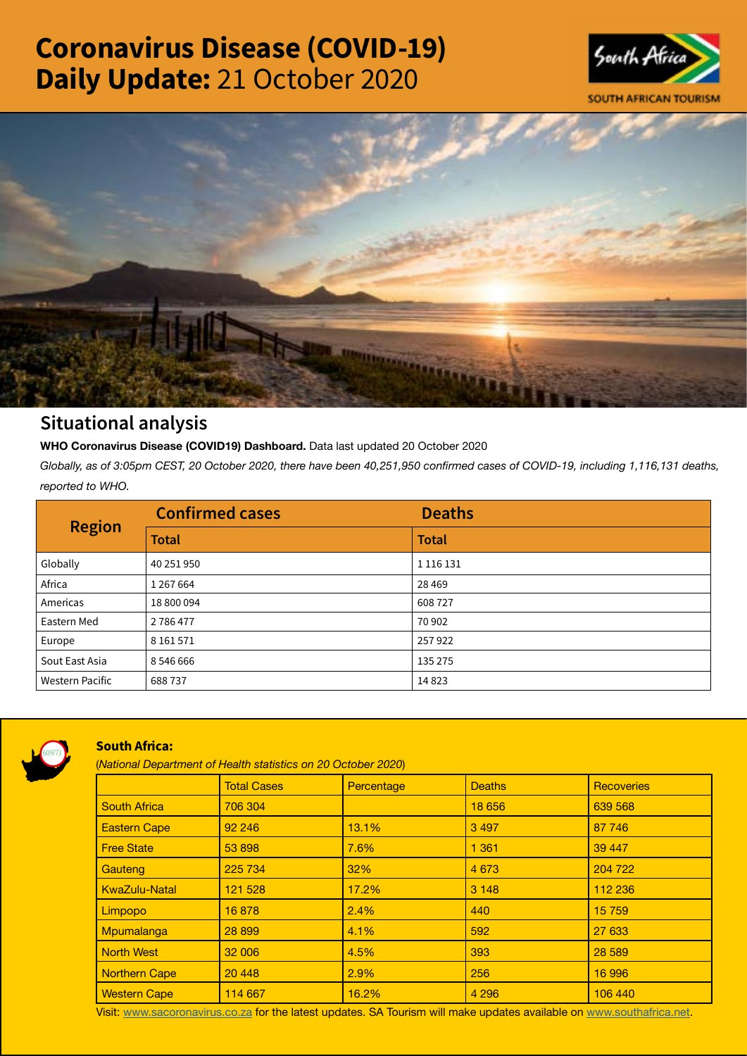# Coronavirus Disease (COVID-19) Daily Update: 21 October 2020





## Situational analysis

**WHO Coronavirus Disease (COVID19) Dashboard.** Data last updated 20 October 2020

*Globally, as of 3:05pm CEST, 20 October 2020, there have been 40,251,950 confirmed cases of COVID-19, including 1,116,131 deaths, reported to WHO.*

| <b>Region</b>          | <b>Confirmed cases</b> | <b>Deaths</b> |
|------------------------|------------------------|---------------|
|                        | <b>Total</b>           | <b>Total</b>  |
| Globally               | 40 251 950             | 1 1 1 6 1 3 1 |
| Africa                 | 1 267 664              | 28 4 69       |
| Americas               | 18 800 094             | 608727        |
| Eastern Med            | 2786477                | 70 902        |
| Europe                 | 8 1 6 1 5 7 1          | 257922        |
| Sout East Asia         | 8 546 666              | 135 275       |
| <b>Western Pacific</b> | 688737                 | 14823         |



### South Africa:

(*National Department of Health statistics on 20 October 2020*)

|                      | <b>Total Cases</b> | Percentage | <b>Deaths</b> | <b>Recoveries</b> |  |  |
|----------------------|--------------------|------------|---------------|-------------------|--|--|
| <b>South Africa</b>  | 706 304            |            | 18 656        | 639 568           |  |  |
| <b>Eastern Cape</b>  | 92 246             | 13.1%      | 3 4 9 7       | 87 746            |  |  |
| <b>Free State</b>    | 53 898             | 7.6%       | 1 3 6 1       | 39 447            |  |  |
| Gauteng              | 225 734            | 32%        | 4 6 7 3       | 204 722           |  |  |
| <b>KwaZulu-Natal</b> | 121 528            | 17.2%      | 3 1 4 8       | 112 236           |  |  |
| Limpopo              | 16878              | 2.4%       | 440           | 15 759            |  |  |
| Mpumalanga           | 28 899             | 4.1%       | 592           | 27 633            |  |  |
| <b>North West</b>    | 32 006             | 4.5%       | 393           | 28 5 89           |  |  |
| <b>Northern Cape</b> | 20 448             | 2.9%       | 256           | 16 996            |  |  |
| <b>Western Cape</b>  | 114 667            | 16.2%      | 4 2 9 6       | 106 440           |  |  |

Visit: [www.sacoronavirus.co.za](http://www.sacoronavirus.co.za) for the latest updates. SA Tourism will make updates available on [www.southafrica.net.](http://www.southafrica.net)